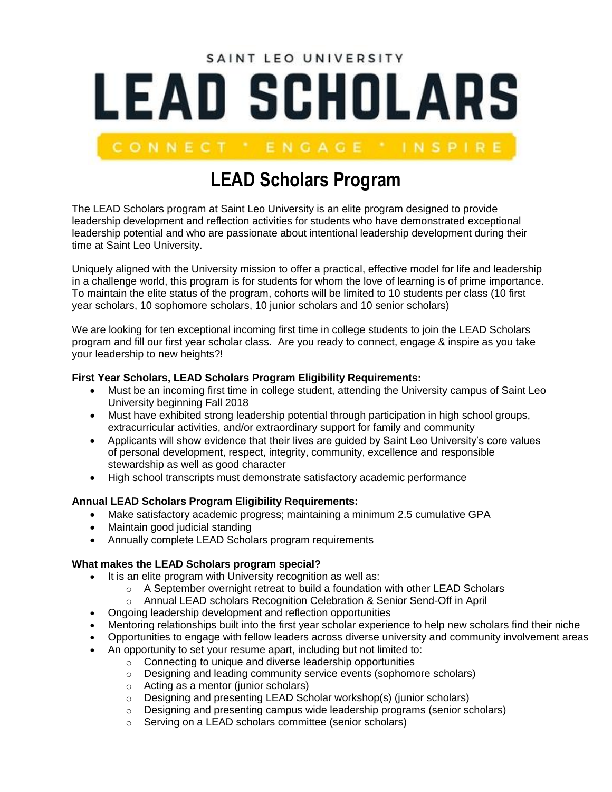# SAINT LEO UNIVERSITY **LEAD SCHOLARS**

# **LEAD Scholars Program**

The LEAD Scholars program at Saint Leo University is an elite program designed to provide leadership development and reflection activities for students who have demonstrated exceptional leadership potential and who are passionate about intentional leadership development during their time at Saint Leo University.

Uniquely aligned with the University mission to offer a practical, effective model for life and leadership in a challenge world, this program is for students for whom the love of learning is of prime importance. To maintain the elite status of the program, cohorts will be limited to 10 students per class (10 first year scholars, 10 sophomore scholars, 10 junior scholars and 10 senior scholars)

We are looking for ten exceptional incoming first time in college students to join the LEAD Scholars program and fill our first year scholar class. Are you ready to connect, engage & inspire as you take your leadership to new heights?!

#### **First Year Scholars, LEAD Scholars Program Eligibility Requirements:**

- Must be an incoming first time in college student, attending the University campus of Saint Leo University beginning Fall 2018
- Must have exhibited strong leadership potential through participation in high school groups, extracurricular activities, and/or extraordinary support for family and community
- Applicants will show evidence that their lives are guided by Saint Leo University's core values of personal development, respect, integrity, community, excellence and responsible stewardship as well as good character
- High school transcripts must demonstrate satisfactory academic performance

#### **Annual LEAD Scholars Program Eligibility Requirements:**

- Make satisfactory academic progress; maintaining a minimum 2.5 cumulative GPA
- Maintain good judicial standing
- Annually complete LEAD Scholars program requirements

#### **What makes the LEAD Scholars program special?**

- It is an elite program with University recognition as well as:
	- $\circ$  A September overnight retreat to build a foundation with other LEAD Scholars
	- o Annual LEAD scholars Recognition Celebration & Senior Send-Off in April
- Ongoing leadership development and reflection opportunities
- Mentoring relationships built into the first year scholar experience to help new scholars find their niche
- Opportunities to engage with fellow leaders across diverse university and community involvement areas
- An opportunity to set your resume apart, including but not limited to:
	- o Connecting to unique and diverse leadership opportunities
	- $\circ$  Designing and leading community service events (sophomore scholars)
	- o Acting as a mentor (junior scholars)
	- o Designing and presenting LEAD Scholar workshop(s) (junior scholars)
	- o Designing and presenting campus wide leadership programs (senior scholars)
	- o Serving on a LEAD scholars committee (senior scholars)